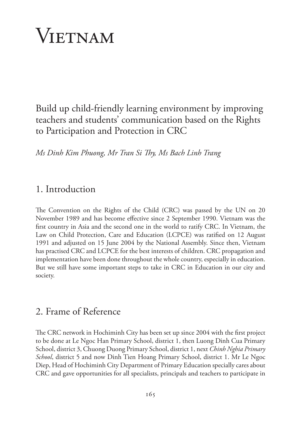# Vietnam

Build up child-friendly learning environment by improving teachers and students' communication based on the Rights to Participation and Protection in CRC

*Ms Dinh Kim Phuong, Mr Tran Si Thy, Ms Bach Linh Trang*

## 1. Introduction

The Convention on the Rights of the Child (CRC) was passed by the UN on 20 November 1989 and has become effective since 2 September 1990. Vietnam was the first country in Asia and the second one in the world to ratify CRC. In Vietnam, the Law on Child Protection, Care and Education (LCPCE) was ratified on 12 August 1991 and adjusted on 15 June 2004 by the National Assembly. Since then, Vietnam has practised CRC and LCPCE for the best interests of children. CRC propagation and implementation have been done throughout the whole country, especially in education. But we still have some important steps to take in CRC in Education in our city and society.

# 2. Frame of Reference

The CRC network in Hochiminh City has been set up since 2004 with the first project to be done at Le Ngoc Han Primary School, district 1, then Luong Dinh Cua Primary School, district 3, Chuong Duong Primary School, district 1, next *Chinh Nghia Primary School*, district 5 and now Dinh Tien Hoang Primary School, district 1. Mr Le Ngoc Diep, Head of Hochiminh City Department of Primary Education specially cares about CRC and gave opportunities for all specialists, principals and teachers to participate in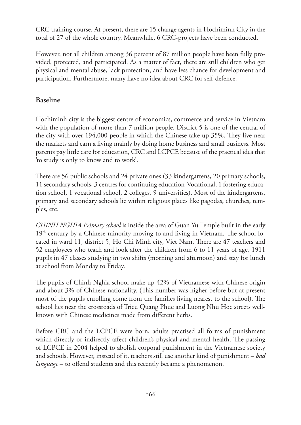CRC training course. At present, there are 15 change agents in Hochiminh City in the total of 27 of the whole country. Meanwhile, 6 CRC-projects have been conducted.

However, not all children among 36 percent of 87 million people have been fully provided, protected, and participated. As a matter of fact, there are still children who get physical and mental abuse, lack protection, and have less chance for development and participation. Furthermore, many have no idea about CRC for self-defence.

### **Baseline**

Hochiminh city is the biggest centre of economics, commerce and service in Vietnam with the population of more than 7 million people. District 5 is one of the central of the city with over 194,000 people in which the Chinese take up 35%. They live near the markets and earn a living mainly by doing home business and small business. Most parents pay little care for education, CRC and LCPCE because of the practical idea that 'to study is only to know and to work'.

There are 56 public schools and 24 private ones (33 kindergartens, 20 primary schools, 11 secondary schools, 3 centres for continuing education-Vocational, 1 fostering education school, 1 vocational school, 2 colleges, 9 universities). Most of the kindergartens, primary and secondary schools lie within religious places like pagodas, churches, temples, etc.

*CHINH NGHIA Primary school* is inside the area of Guan Yu Temple built in the early  $19<sup>th</sup>$  century by a Chinese minority moving to and living in Vietnam. The school located in ward 11, district 5, Ho Chi Minh city, Viet Nam. There are 47 teachers and 52 employees who teach and look after the children from 6 to 11 years of age, 1911 pupils in 47 classes studying in two shifts (morning and afternoon) and stay for lunch at school from Monday to Friday.

The pupils of Chinh Nghia school make up 42% of Vietnamese with Chinese origin and about 3% of Chinese nationality. (This number was higher before but at present most of the pupils enrolling come from the families living nearest to the school). The school lies near the crossroads of Trieu Quang Phuc and Luong Nhu Hoc streets wellknown with Chinese medicines made from different herbs.

Before CRC and the LCPCE were born, adults practised all forms of punishment which directly or indirectly affect children's physical and mental health. The passing of LCPCE in 2004 helped to abolish corporal punishment in the Vietnamese society and schools. However, instead of it, teachers still use another kind of punishment – *bad language* – to offend students and this recently became a phenomenon.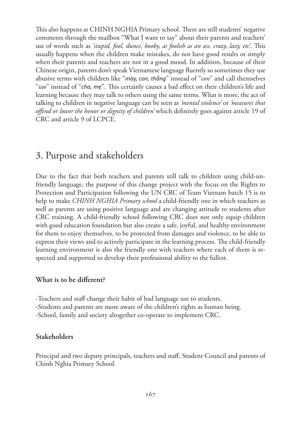This also happens at CHINH NGHIA Primary school. There are still students' negative comments through the mailbox "What I want to say" about their parents and teachers' use of words such as *'stupid, fool, dunce, booby, as foolish as an ass, crazy, lazy, etc'*. This usually happens when the children make mistakes, do not have good results or simply when their parents and teachers are not in a good mood. In addition, because of their Chinese origin, parents don't speak Vietnamese language fluently so sometimes they use abusive terms with children like "*mày, con, thằng*" instead of "*con*" and call themselves "*tao*" instead of "*cha, mẹ*". This certainly causes a bad effect on their children's life and learning because they may talk to others using the same terms. What is more, the act of talking to children in negative language can be seen as *'mental violence'* or *'measures that offend or lower the honor or dignity of children'* which definitely goes against article 19 of CRC and article 9 of LCPCE.

# 3. Purpose and stakeholders

Due to the fact that both teachers and parents still talk to children using child-unfriendly language, the purpose of this change project with the focus on the Rights to Protection and Participation following the UN CRC of Team Vietnam batch 15 is to help to make *CHINH NGHIA Primary school* a child-friendly one in which teachers as well as parents are using positive language and are changing attitude to students after CRC training. A child-friendly school following CRC does not only equip children with good education foundation but also create a safe, joyful, and healthy environment for them to enjoy themselves, to be protected from damages and violence, to be able to express their views and to actively participate in the learning process. The child-friendly learning environment is also the friendly one with teachers where each of them is respected and supported to develop their professional ability to the fullest.

#### **What is to be different?**

-Teachers and staff change their habit of bad language use to students. -Students and parents are more aware of the children's rights as human being. -School, family and society altogether co-operate to implement CRC.

#### **Stakeholders**

Principal and two deputy principals, teachers and staff, Student Council and parents of Chinh Nghia Primary School*.*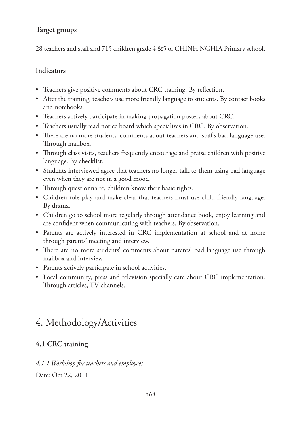## **Target groups**

28 teachers and staff and 715 children grade 4 &5 of CHINH NGHIA Primary school.

#### **Indicators**

- Teachers give positive comments about CRC training. By reflection.
- After the training, teachers use more friendly language to students. By contact books and notebooks.
- Teachers actively participate in making propagation posters about CRC.
- Teachers usually read notice board which specializes in CRC. By observation.
- There are no more students' comments about teachers and staff's bad language use. Through mailbox.
- Through class visits, teachers frequently encourage and praise children with positive language. By checklist.
- Students interviewed agree that teachers no longer talk to them using bad language even when they are not in a good mood.
- Through questionnaire, children know their basic rights.
- Children role play and make clear that teachers must use child-friendly language. By drama.
- Children go to school more regularly through attendance book, enjoy learning and are confident when communicating with teachers. By observation.
- Parents are actively interested in CRC implementation at school and at home through parents' meeting and interview.
- There are no more students' comments about parents' bad language use through mailbox and interview.
- Parents actively participate in school activities.
- • Local community, press and television specially care about CRC implementation. Through articles, TV channels.

# 4. Methodology/Activities

## **4.1 CRC training**

## *4.1.1 Workshop for teachers and employees* Date: Oct 22, 2011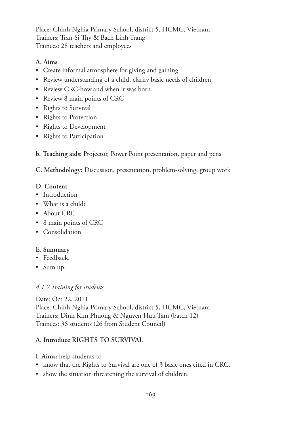Place: Chinh Nghia Primary School, district 5, HCMC, Vietnam Trainers: Tran Si Thy & Bach Linh Trang Trainees: 28 teachers and employees

#### **A. Aims**

- • Create informal atmosphere for giving and gaining
- Review understanding of a child, clarify basic needs of children
- Review CRC-how and when it was born.
- Review 8 main points of CRC
- Rights to Survival
- Rights to Protection
- Rights to Development
- • Rights to Participation
- **b. Teaching aids:** Projector, Power Point presentation, paper and pens

**C. Methodology:** Discussion, presentation, problem-solving, group work

#### **D. Content**

- Introduction
- What is a child?
- About CRC
- 8 main points of CRC
- Consolidation

#### **E. Summary**

- Feedback.
- Sum up.

#### *4.1.2 Training for students*

Date: Oct 22, 2011 Place: Chinh Nghia Primary School, district 5, HCMC, Vietnam Trainers: Dinh Kim Phuong & Nguyen Huu Tam (batch 12) Trainees: 36 students (26 from Student Council)

#### **A. Introduce RIGHTS TO SURVIVAL**

- **I. Aims:** help students to
- know that the Rights to Survival are one of 3 basic ones cited in CRC.
- show the situation threatening the survival of children.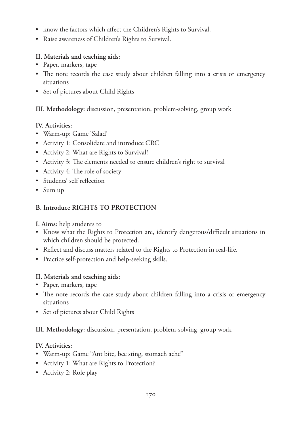- know the factors which affect the Children's Rights to Survival.
- • Raise awareness of Children's Rights to Survival.

#### **II. Materials and teaching aids:**

- Paper, markers, tape
- The note records the case study about children falling into a crisis or emergency situations
- Set of pictures about Child Rights

#### **III. Methodology:** discussion, presentation, problem-solving, group work

#### **IV. Activities:**

- • Warm-up: Game 'Salad'
- Activity 1: Consolidate and introduce CRC
- Activity 2: What are Rights to Survival?
- Activity 3: The elements needed to ensure children's right to survival
- Activity 4: The role of society
- • Students' self reflection
- Sum up

### **B. Introduce RIGHTS TO PROTECTION**

**I. Aims:** help students to

- • Know what the Rights to Protection are, identify dangerous/difficult situations in which children should be protected.
- Reflect and discuss matters related to the Rights to Protection in real-life.
- Practice self-protection and help-seeking skills.

#### **II. Materials and teaching aids:**

- Paper, markers, tape
- The note records the case study about children falling into a crisis or emergency situations
- • Set of pictures about Child Rights

#### **III. Methodology:** discussion, presentation, problem-solving, group work

### **IV. Activities:**

- • Warm-up: Game "Ant bite, bee sting, stomach ache"
- Activity 1: What are Rights to Protection?
- Activity 2: Role play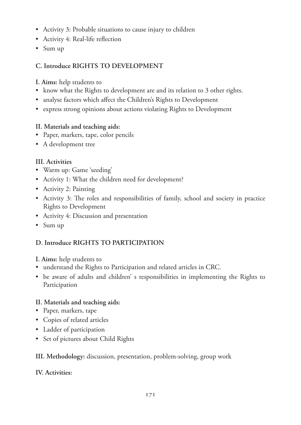- Activity 3: Probable situations to cause injury to children
- Activity 4: Real-life reflection
- Sum up

## **C. Introduce RIGHTS TO DEVELOPMENT**

- **I. Aims:** help students to
- know what the Rights to development are and its relation to 3 other rights.
- analyse factors which affect the Children's Rights to Development
- • express strong opinions about actions violating Rights to Development

#### **II. Materials and teaching aids:**

- • Paper, markers, tape, color pencils
- A development tree

#### **III. Activities**

- • Warm up: Game 'seeding'
- Activity 1: What the children need for development?
- Activity 2: Painting
- • Activity 3: The roles and responsibilities of family, school and society in practice Rights to Development
- Activity 4: Discussion and presentation
- Sum up

### **D. Introduce RIGHTS TO PARTICIPATION**

**I. Aims:** help students to

- understand the Rights to Participation and related articles in CRC.
- • be aware of adults and children' s responsibilities in implementing the Rights to Participation

#### **II. Materials and teaching aids:**

- Paper, markers, tape
- • Copies of related articles
- • Ladder of participation
- Set of pictures about Child Rights

### **III. Methodology:** discussion, presentation, problem-solving, group work

#### **IV. Activities:**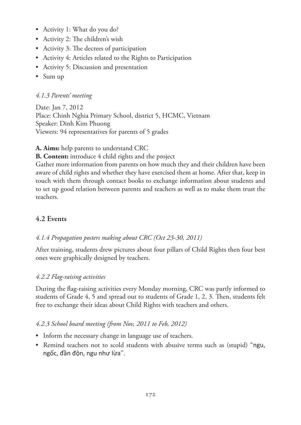- Activity 1: What do you do?
- Activity 2: The children's wish
- Activity 3: The decrees of participation
- Activity 4: Articles related to the Rights to Participation
- Activity 5: Discussion and presentation
- Sum up

#### *4.1.3 Parents' meeting*

Date: Jan 7, 2012 Place: Chinh Nghia Primary School, district 5, HCMC, Vietnam Speaker: Dinh Kim Phuong Viewers: 94 representatives for parents of 5 grades

**A. Aims:** help parents to understand CRC

**B. Content:** introduce 4 child rights and the project

Gather more information from parents on how much they and their children have been aware of child rights and whether they have exercised them at home. After that, keep in touch with them through contact books to exchange information about students and to set up good relation between parents and teachers as well as to make them trust the teachers.

## **4.2 Events**

#### *4.1.4 Propagation posters making about CRC (Oct 23-30, 2011)*

After training, students drew pictures about four pillars of Child Rights then four best ones were graphically designed by teachers.

#### *4.2.2 Flag-raising activities*

During the flag-raising activities every Monday morning, CRC was partly informed to students of Grade 4, 5 and spread out to students of Grade 1, 2, 3. Then, students felt free to exchange their ideas about Child Rights with teachers and others.

#### *4.2.3 School board meeting (from Nov, 2011 to Feb, 2012)*

- Inform the necessary change in language use of teachers.
- Remind teachers not to scold students with abusive terms such as (stupid) "ngu, ngốc, đần độn, ngu như lừa".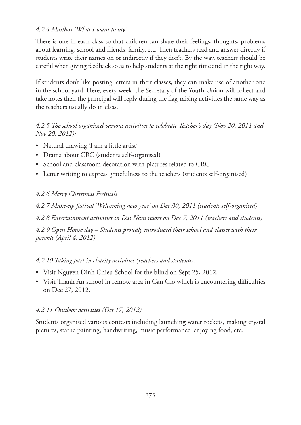#### *4.2.4 Mailbox 'What I want to say'*

There is one in each class so that children can share their feelings, thoughts, problems about learning, school and friends, family, etc. Then teachers read and answer directly if students write their names on or indirectly if they don't. By the way, teachers should be careful when giving feedback so as to help students at the right time and in the right way.

If students don't like posting letters in their classes, they can make use of another one in the school yard. Here, every week, the Secretary of the Youth Union will collect and take notes then the principal will reply during the flag-raising activities the same way as the teachers usually do in class.

#### *4.2.5 The school organized various activities to celebrate Teacher's day (Nov 20, 2011 and Nov 20, 2012):*

- • Natural drawing 'I am a little artist'
- • Drama about CRC (students self-organised)
- School and classroom decoration with pictures related to CRC
- Letter writing to express gratefulness to the teachers (students self-organised)

### *4.2.6 Merry Christmas Festivals*

*4.2.7 Make-up festival 'Welcoming new year' on Dec 30, 2011 (students self-organised)*

*4.2.8 Entertainment activities in Dai Nam resort on Dec 7, 2011 (teachers and students)*

*4.2.9 Open House day – Students proudly introduced their school and classes with their parents (April 4, 2012)*

### *4.2.10 Taking part in charity activities (teachers and students).*

- Visit Nguyen Dinh Chieu School for the blind on Sept 25, 2012.
- • Visit Thanh An school in remote area in Can Gio which is encountering difficulties on Dec 27, 2012.

#### *4.2.11 Outdoor activities (Oct 17, 2012)*

Students organised various contests including launching water rockets, making crystal pictures, statue painting, handwriting, music performance, enjoying food, etc.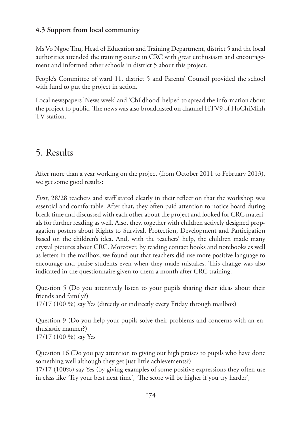## **4.3 Support from local community**

Ms Vo Ngoc Thu, Head of Education and Training Department, district 5 and the local authorities attended the training course in CRC with great enthusiasm and encouragement and informed other schools in district 5 about this project.

People's Committee of ward 11, district 5 and Parents' Council provided the school with fund to put the project in action.

Local newspapers 'News week' and 'Childhood' helped to spread the information about the project to public. The news was also broadcasted on channel HTV9 of HoChiMinh TV station.

# 5. Results

After more than a year working on the project (from October 2011 to February 2013), we get some good results:

*First*, 28/28 teachers and staff stated clearly in their reflection that the workshop was essential and comfortable. After that, they often paid attention to notice board during break time and discussed with each other about the project and looked for CRC materials for further reading as well. Also, they, together with children actively designed propagation posters about Rights to Survival, Protection, Development and Participation based on the children's idea. And, with the teachers' help, the children made many crystal pictures about CRC. Moreover, by reading contact books and notebooks as well as letters in the mailbox, we found out that teachers did use more positive language to encourage and praise students even when they made mistakes. This change was also indicated in the questionnaire given to them a month after CRC training.

Question 5 (Do you attentively listen to your pupils sharing their ideas about their friends and family?) 17/17 (100 %) say Yes (directly or indirectly every Friday through mailbox)

Question 9 (Do you help your pupils solve their problems and concerns with an enthusiastic manner?) 17/17 (100 %) say Yes

Question 16 (Do you pay attention to giving out high praises to pupils who have done something well although they get just little achievements?)

17/17 (100%) say Yes (by giving examples of some positive expressions they often use in class like 'Try your best next time', 'The score will be higher if you try harder',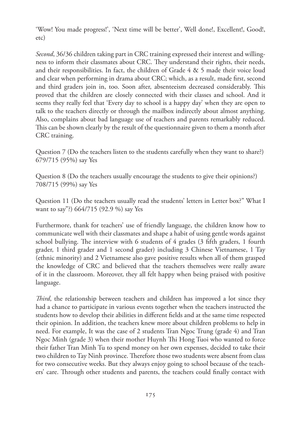'Wow! You made progress!', 'Next time will be better', Well done!, Excellent!, Good!, etc)

*Second*, 36/36 children taking part in CRC training expressed their interest and willingness to inform their classmates about CRC. They understand their rights, their needs, and their responsibilities. In fact, the children of Grade 4 & 5 made their voice loud and clear when performing in drama about CRC; which, as a result, made first, second and third graders join in, too. Soon after, absenteeism decreased considerably. This proved that the children are closely connected with their classes and school. And it seems they really feel that 'Every day to school is a happy day' when they are open to talk to the teachers directly or through the mailbox indirectly about almost anything. Also, complains about bad language use of teachers and parents remarkably reduced. This can be shown clearly by the result of the questionnaire given to them a month after CRC training.

Question 7 (Do the teachers listen to the students carefully when they want to share?) 679/715 (95%) say Yes

Question 8 (Do the teachers usually encourage the students to give their opinions?) 708/715 (99%) say Yes

Question 11 (Do the teachers usually read the students' letters in Letter box?" What I want to say"?) 664/715 (92.9 %) say Yes

Furthermore, thank for teachers' use of friendly language, the children know how to communicate well with their classmates and shape a habit of using gentle words against school bullying. The interview with 6 students of 4 grades (3 fifth graders, 1 fourth grader, 1 third grader and 1 second grader) including 3 Chinese Vietnamese, 1 Tay (ethnic minority) and 2 Vietnamese also gave positive results when all of them grasped the knowledge of CRC and believed that the teachers themselves were really aware of it in the classroom. Moreover, they all felt happy when being praised with positive language.

*Third*, the relationship between teachers and children has improved a lot since they had a chance to participate in various events together when the teachers instructed the students how to develop their abilities in different fields and at the same time respected their opinion. In addition, the teachers knew more about children problems to help in need. For example, It was the case of 2 students Tran Ngoc Trung (grade 4) and Tran Ngoc Minh (grade 3) when their mother Huynh Thi Hong Tuoi who wanted to force their father Tran Minh Tu to spend money on her own expenses, decided to take their two children to Tay Ninh province. Therefore those two students were absent from class for two consecutive weeks. But they always enjoy going to school because of the teachers' care. Through other students and parents, the teachers could finally contact with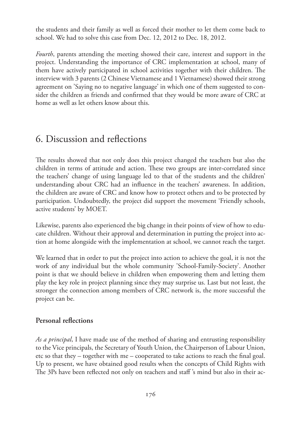the students and their family as well as forced their mother to let them come back to school. We had to solve this case from Dec. 12, 2012 to Dec. 18, 2012.

*Fourth*, parents attending the meeting showed their care, interest and support in the project. Understanding the importance of CRC implementation at school, many of them have actively participated in school activities together with their children. The interview with 3 parents (2 Chinese Vietnamese and 1 Vietnamese) showed their strong agreement on 'Saying no to negative language' in which one of them suggested to consider the children as friends and confirmed that they would be more aware of CRC at home as well as let others know about this.

## 6. Discussion and reflections

The results showed that not only does this project changed the teachers but also the children in terms of attitude and action. These two groups are inter-correlated since the teachers' change of using language led to that of the students and the children' understanding about CRC had an influence in the teachers' awareness. In addition, the children are aware of CRC and know how to protect others and to be protected by participation. Undoubtedly, the project did support the movement 'Friendly schools, active students' by MOET.

Likewise, parents also experienced the big change in their points of view of how to educate children. Without their approval and determination in putting the project into action at home alongside with the implementation at school, we cannot reach the target.

We learned that in order to put the project into action to achieve the goal, it is not the work of any individual but the whole community 'School-Family-Society'. Another point is that we should believe in children when empowering them and letting them play the key role in project planning since they may surprise us. Last but not least, the stronger the connection among members of CRC network is, the more successful the project can be.

#### **Personal reflections**

*As a principal*, I have made use of the method of sharing and entrusting responsibility to the Vice principals, the Secretary of Youth Union, the Chairperson of Labour Union, etc so that they – together with me – cooperated to take actions to reach the final goal. Up to present, we have obtained good results when the concepts of Child Rights with The 3Ps have been reflected not only on teachers and staff 's mind but also in their ac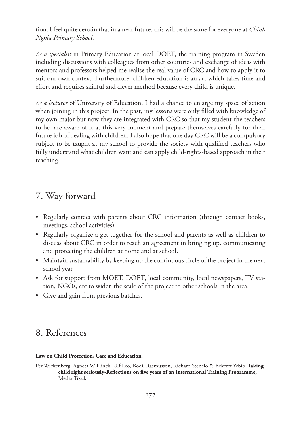tion. I feel quite certain that in a near future, this will be the same for everyone at *Chinh Nghia Primary School*.

*As a specialist* in Primary Education at local DOET, the training program in Sweden including discussions with colleagues from other countries and exchange of ideas with mentors and professors helped me realise the real value of CRC and how to apply it to suit our own context. Furthermore, children education is an art which takes time and effort and requires skillful and clever method because every child is unique.

*As a lecturer* of University of Education, I had a chance to enlarge my space of action when joining in this project. In the past, my lessons were only filled with knowledge of my own major but now they are integrated with CRC so that my student-the teachers to be- are aware of it at this very moment and prepare themselves carefully for their future job of dealing with children. I also hope that one day CRC will be a compulsory subject to be taught at my school to provide the society with qualified teachers who fully understand what children want and can apply child-rights-based approach in their teaching.

# 7. Way forward

- Regularly contact with parents about CRC information (through contact books, meetings, school activities)
- Regularly organize a get-together for the school and parents as well as children to discuss about CRC in order to reach an agreement in bringing up, communicating and protecting the children at home and at school.
- Maintain sustainability by keeping up the continuous circle of the project in the next school year.
- Ask for support from MOET, DOET, local community, local newspapers, TV station, NGOs, etc to widen the scale of the project to other schools in the area.
- Give and gain from previous batches.

# 8. References

#### **Law on Child Protection, Care and Education**.

Per Wickenberg, Agneta W Flinck, Ulf Leo, Bodil Rasmusson, Richard Stenelo & Bekeret Yebio, **Taking child right seriously-Reflections on five years of an International Training Programme,**  Media-Tryck.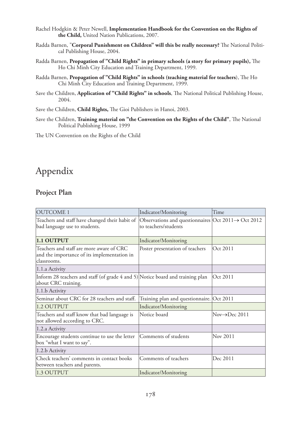- Rachel Hodgkin & Peter Newell, **Implementation Handbook for the Convention on the Rights of the Child,** United Nation Publications, 2007.
- Radda Barnen, "**Corporal Punishment on Children" will this be really necessary?** The National Political Publishing House, 2004.
- Radda Barnen, **Propagation of "Child Rights" in primary schools (a story for primary pupils),** The Ho Chi Minh City Education and Training Department, 1999.
- Radda Barnen, **Propagation of "Child Rights" in schools (teaching material for teachers**), The Ho Chi Minh City Education and Training Department, 1999.
- Save the Children, **Application of "Child Rights" in schools**, The National Political Publishing House, 2004.
- Save the Children, **Child Rights,** The Gioi Publishers in Hanoi, 2003.
- Save the Children, **Training material on "the Convention on the Rights of the Child"**, The National Political Publishing House, 1999

The UN Convention on the Rights of the Child

# Appendix

#### **Project Plan**

| <b>OUTCOME 1</b>                                                                                       | Indicator/Monitoring                                                                    | Time         |
|--------------------------------------------------------------------------------------------------------|-----------------------------------------------------------------------------------------|--------------|
| Teachers and staff have changed their habit of<br>bad language use to students.                        | Observations and questionnaires Oct 2011 $\rightarrow$ Oct 2012<br>to teachers/students |              |
| 1.1 OUTPUT                                                                                             | Indicator/Monitoring                                                                    |              |
| Teachers and staff are more aware of CRC<br>and the importance of its implementation in<br>classrooms. | Poster presentation of teachers                                                         | Oct 2011     |
| 1.1.a Activity                                                                                         |                                                                                         |              |
| Inform 28 teachers and staff (of grade 4 and 5) Notice board and training plan<br>about CRC training.  |                                                                                         | Oct 2011     |
| 1.1.b Activity                                                                                         |                                                                                         |              |
| Seminar about CRC for 28 teachers and staff.                                                           | Training plan and questionnaire. Oct 2011                                               |              |
| 1.2 OUTPUT                                                                                             | Indicator/Monitoring                                                                    |              |
| Teachers and staff know that bad language is<br>not allowed according to CRC.                          | Notice board                                                                            | Nov→Dec 2011 |
| 1.2.a Activity                                                                                         |                                                                                         |              |
| Encourage students continue to use the letter<br>box "what I want to say".                             | Comments of students                                                                    | Nov 2011     |
| 1.2.b Activity                                                                                         |                                                                                         |              |
| Check teachers' comments in contact books<br>between teachers and parents.                             | Comments of teachers                                                                    | Dec 2011     |
| 1.3 OUTPUT                                                                                             | Indicator/Monitoring                                                                    |              |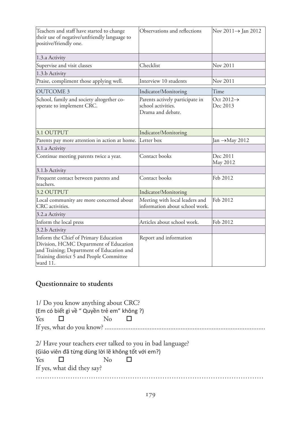| Teachers and staff have started to change<br>their use of negative/unfriendly language to<br>positive/friendly one.                                                                  | Observations and reflections                                               | Nov $2011 \rightarrow$ Jan 2012    |
|--------------------------------------------------------------------------------------------------------------------------------------------------------------------------------------|----------------------------------------------------------------------------|------------------------------------|
| 1.3.a Activity                                                                                                                                                                       |                                                                            |                                    |
| Supervise and visit classes                                                                                                                                                          | Checklist                                                                  | Nov 2011                           |
| 1.3.b Activity                                                                                                                                                                       |                                                                            |                                    |
| Praise, compliment those applying well.                                                                                                                                              | Interview 10 students                                                      | Nov 2011                           |
| <b>OUTCOME 3</b>                                                                                                                                                                     | Indicator/Monitoring                                                       | Time                               |
| School, family and society altogether co-<br>operate to implement CRC.                                                                                                               | Parents actively participate in<br>school activities.<br>Drama and debate. | Oct 2012 $\rightarrow$<br>Dec 2013 |
| 3.1 OUTPUT                                                                                                                                                                           | Indicator/Monitoring                                                       |                                    |
| Parents pay more attention in action at home.                                                                                                                                        | Letter box                                                                 | Jan $\rightarrow$ May 2012         |
| 3.1.a Activity                                                                                                                                                                       |                                                                            |                                    |
| Continue meeting parents twice a year.                                                                                                                                               | Contact books                                                              | Dec 2011<br>May 2012               |
| 3.1.b Activity                                                                                                                                                                       |                                                                            |                                    |
| Frequent contact between parents and<br>teachers.                                                                                                                                    | Contact books                                                              | Feb 2012                           |
| 3.2 OUTPUT                                                                                                                                                                           | Indicator/Monitoring                                                       |                                    |
| Local community are more concerned about<br>CRC activities.                                                                                                                          | Meeting with local leaders and<br>information about school work.           | Feb 2012                           |
| 3.2.a Activity                                                                                                                                                                       |                                                                            |                                    |
| Inform the local press                                                                                                                                                               | Articles about school work.                                                | Feb 2012                           |
| 3.2.b Activity                                                                                                                                                                       |                                                                            |                                    |
| Inform the Chief of Primary Education<br>Division, HCMC Department of Education<br>and Training; Department of Education and<br>Training district 5 and People Committee<br>ward 11. | Report and information                                                     |                                    |

## **Questionnaire to students**

|            |                            | 1/ Do you know anything about CRC?                        |  |  |  |
|------------|----------------------------|-----------------------------------------------------------|--|--|--|
|            |                            | (Em có biết gì về " Quyền trẻ em" không ?)                |  |  |  |
| <b>Yes</b> |                            |                                                           |  |  |  |
|            |                            |                                                           |  |  |  |
|            |                            |                                                           |  |  |  |
|            |                            | 2/ Have your teachers ever talked to you in bad language? |  |  |  |
|            |                            | (Giáo viên đã từng dùng lời lẽ không tốt với em?)         |  |  |  |
| Yes.       |                            | $\rm No$                                                  |  |  |  |
|            | If yes, what did they say? |                                                           |  |  |  |
|            |                            |                                                           |  |  |  |
|            |                            |                                                           |  |  |  |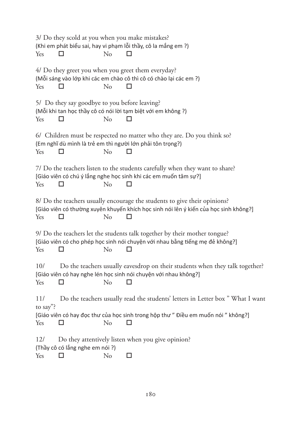| Yes             | 3/ Do they scold at you when you make mistakes? | $\rm No$ | (Khi em phát biểu sai, hay vi phạm lỗi thầy, cô la mắng em ?)                                                                                                     |
|-----------------|-------------------------------------------------|----------|-------------------------------------------------------------------------------------------------------------------------------------------------------------------|
| Yes             |                                                 | No       | 4/ Do they greet you when you greet them everyday?<br>(Mỗi sáng vào lớp khi các em chào cô thì cô có chào lại các em ?)<br>ΙI                                     |
| Yes             | 5/ Do they say goodbye to you before leaving?   | $\rm No$ | (Mỗi khi tan học thầy cô có nói lời tạm biệt với em không ?)<br>П                                                                                                 |
| Yes             |                                                 | No       | 6/ Children must be respected no matter who they are. Do you think so?<br>(Em nghĩ dù mình là trẻ em thì người lớn phải tôn trọng?)                               |
| Yes             |                                                 | No       | 7/ Do the teachers listen to the students carefully when they want to share?<br>[Giáo viên có chú ý lắng nghe học sinh khi các em muốn tâm sự?]                   |
| Yes             |                                                 | No       | 8/ Do the teachers usually encourage the students to give their opinions?<br>[Giáo viên có thường xuyên khuyến khích học sinh nói lên ý kiến của học sinh không?] |
| Yes             | П                                               | No       | 9/ Do the teachers let the students talk together by their mother tongue?<br>[Giáo viên có cho phép học sinh nói chuyện với nhau bằng tiếng mẹ đẻ không?]<br>П    |
| 10/<br>Yes      |                                                 | No       | Do the teachers usually eavesdrop on their students when they talk together?<br>[Giáo viên có hay nghe lén học sinh nói chuyện với nhau không?]                   |
| 11/<br>to say"? |                                                 |          | Do the teachers usually read the students' letters in Letter box " What I want                                                                                    |
| Yes             |                                                 | No       | [Giáo viên có hay đọc thư của học sinh trong hộp thư" Điều em muốn nói " không?]                                                                                  |
| <sup>12</sup>   | (Thầy cô có lắng nghe em nói?)                  |          | Do they attentively listen when you give opinion?                                                                                                                 |
| Yes             | □                                               | No       | □                                                                                                                                                                 |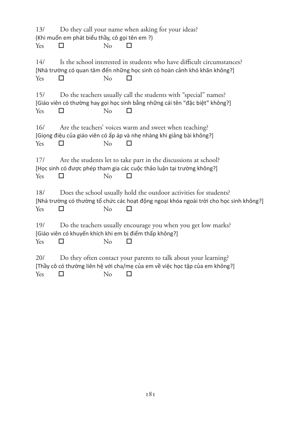13/ Do they call your name when asking for your ideas? (Khi muốn em phát biểu thầy, cô gọi tên em ?) Yes  $\square$  No  $\square$ 14/ Is the school interested in students who have difficult circumstances? [Nhà trường có quan tâm đến những học sinh có hoàn cảnh khó khăn không?] Yes  $\square$  No  $\square$ 15/ Do the teachers usually call the students with "special" names? [Giáo viên có thường hay gọi học sinh bằng những cái tên "đặc biệt" không?] Yes  $\square$  No  $\square$ 16/ Are the teachers' voices warm and sweet when teaching? [Giọng điệu của giáo viên có ấp áp và nhẹ nhàng khi giảng bài không?] Yes  $\square$  No  $\square$ 17/ Are the students let to take part in the discussions at school? [Học sinh có được phép tham gia các cuộc thảo luận tại trường không?] Yes  $\Box$  No  $\Box$ 18/ Does the school usually hold the outdoor activities for students? [Nhà trường có thường tổ chức các hoạt động ngoại khóa ngoài trời cho học sinh không?] Yes  $\Box$  No  $\Box$ 19/ Do the teachers usually encourage you when you get low marks? [Giáo viên có khuyến khích khi em bị điểm thấp không?] Yes  $\Box$  No  $\Box$ 20/ Do they often contact your parents to talk about your learning? [Thầy cô có thường liên hệ với cha/mẹ của em về việc học tập của em không?] Yes  $\Box$  No  $\Box$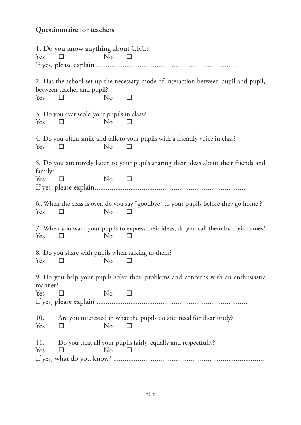# **Questionnaire for teachers**

| Yes                                                                                                                 | 1. Do you know anything about CRC?              | N <sub>0</sub> |                                                                                                   |  |
|---------------------------------------------------------------------------------------------------------------------|-------------------------------------------------|----------------|---------------------------------------------------------------------------------------------------|--|
| Yes                                                                                                                 | between teacher and pupil?<br>ப                 | No             | 2. Has the school set up the necessary mode of interaction between pupil and pupil,<br>□          |  |
| Yes                                                                                                                 | 3. Do you ever scold your pupils in class?<br>П | N <sub>o</sub> | П                                                                                                 |  |
| Yes                                                                                                                 | П                                               | No             | 4. Do you often smile and talk to your pupils with a friendly voice in class?<br>п                |  |
| family?<br>Yes                                                                                                      | П                                               | N <sub>o</sub> | 5. Do you attentively listen to your pupils sharing their ideas about their friends and<br>$\Box$ |  |
| Yes                                                                                                                 | ப                                               | No             | 6. When the class is over, do you say "goodbye" to your pupils before they go home?<br>□          |  |
| Yes                                                                                                                 | □                                               | No             | 7. When you want your pupils to express their ideas, do you call them by their names?<br>П        |  |
| Yes                                                                                                                 | $\mathsf{L}$                                    | No             | 8. Do you share with pupils when talking to them?                                                 |  |
| 9. Do you help your pupils solve their problems and concerns with an enthusiastic<br>manner?<br>No<br>Yes<br>□<br>П |                                                 |                |                                                                                                   |  |
|                                                                                                                     |                                                 |                |                                                                                                   |  |
| 10.<br>Yes                                                                                                          | □                                               | No             | Are you interested in what the pupils do and need for their study?<br>П                           |  |
| 11.<br>Yes                                                                                                          | П                                               | No             | Do you treat all your pupils fairly, equally and respectfully?<br>◘                               |  |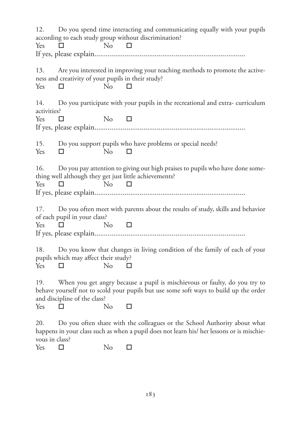| 12.<br>Do you spend time interacting and communicating equally with your pupils<br>according to each study group without discrimination?                                                                   |  |  |  |  |
|------------------------------------------------------------------------------------------------------------------------------------------------------------------------------------------------------------|--|--|--|--|
| No<br>Yes<br>□<br>□                                                                                                                                                                                        |  |  |  |  |
|                                                                                                                                                                                                            |  |  |  |  |
| 13.<br>Are you interested in improving your teaching methods to promote the active-<br>ness and creativity of your pupils in their study?<br>Yes<br>N <sub>0</sub><br>□<br>$\Box$                          |  |  |  |  |
| 14.<br>Do you participate with your pupils in the recreational and extra-curriculum<br>activities?                                                                                                         |  |  |  |  |
| No<br>Yes.<br>П<br>$\Box$                                                                                                                                                                                  |  |  |  |  |
|                                                                                                                                                                                                            |  |  |  |  |
| 15.<br>Do you support pupils who have problems or special needs?<br>Yes<br>No<br>□<br>П                                                                                                                    |  |  |  |  |
| 16.<br>Do you pay attention to giving out high praises to pupils who have done some-<br>thing well although they get just little achievements?<br>N <sub>o</sub><br>Yes<br>□<br>$\Box$                     |  |  |  |  |
| Do you often meet with parents about the results of study, skills and behavior<br>17.<br>of each pupil in your class?                                                                                      |  |  |  |  |
| No<br><b>Yes</b><br>$\Box$<br>$\Box$                                                                                                                                                                       |  |  |  |  |
|                                                                                                                                                                                                            |  |  |  |  |
| 18.<br>Do you know that changes in living condition of the family of each of your<br>pupils which may affect their study?<br>N <sub>o</sub><br>Yes<br>$\Box$<br>П                                          |  |  |  |  |
| 19.<br>When you get angry because a pupil is mischievous or faulty, do you try to<br>behave yourself not to scold your pupils but use some soft ways to build up the order<br>and discipline of the class? |  |  |  |  |
| Yes<br>N <sub>o</sub><br>П<br>□                                                                                                                                                                            |  |  |  |  |
| Do you often share with the colleagues or the School Authority about what<br>20.<br>happens in your class such as when a pupil does not learn his/ her lessons or is mischie-<br>vous in class?            |  |  |  |  |
| N <sub>o</sub><br>Yes<br>□<br>□                                                                                                                                                                            |  |  |  |  |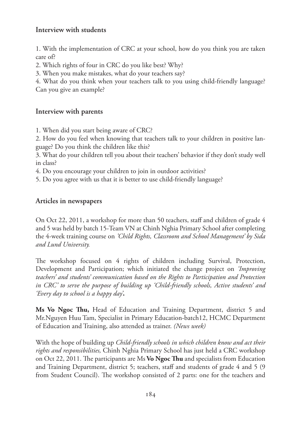#### **Interview with students**

1. With the implementation of CRC at your school, how do you think you are taken care of?

2. Which rights of four in CRC do you like best? Why?

3. When you make mistakes, what do your teachers say?

4. What do you think when your teachers talk to you using child-friendly language? Can you give an example?

#### **Interview with parents**

1. When did you start being aware of CRC?

2. How do you feel when knowing that teachers talk to your children in positive language? Do you think the children like this?

3. What do your children tell you about their teachers' behavior if they don't study well in class?

4. Do you encourage your children to join in outdoor activities?

5. Do you agree with us that it is better to use child-friendly language?

#### **Articles in newspapers**

On Oct 22, 2011, a workshop for more than 50 teachers, staff and children of grade 4 and 5 was held by batch 15-Team VN at Chinh Nghia Primary School after completing the 4-week training course on *'Child Rights, Classroom and School Management' by Sida and Lund University.*

The workshop focused on 4 rights of children including Survival, Protection, Development and Participation; which initiated the change project on *'Improving teachers' and students' communication based on the Rights to Participation and Protection in CRC' to serve the purpose of building up 'Child-friendly schools, Active students' and 'Every day to school is a happy day'***.** 

**Ms Vo Ngoc Thu,** Head of Education and Training Department, district 5 and Mr.Nguyen Huu Tam, Specialist in Primary Education-batch12, HCMC Department of Education and Training, also attended as trainer. *(News week)*

With the hope of building up *Child-friendly schools in which children know and act their rights and responsibilities,* Chinh Nghia Primary School has just held a CRC workshop on Oct 22, 2011. The participants are Ms **Vo Ngoc Thu** and specialists from Education and Training Department, district 5; teachers, staff and students of grade 4 and 5 (9 from Student Council). The workshop consisted of 2 parts: one for the teachers and